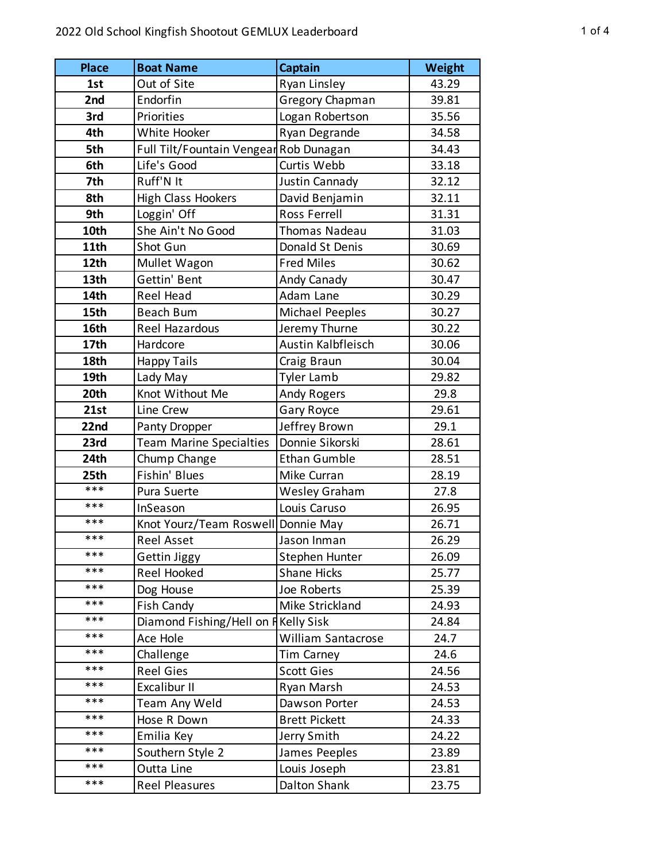| <b>Place</b> | <b>Boat Name</b>                       | Captain                   | <b>Weight</b> |
|--------------|----------------------------------------|---------------------------|---------------|
| 1st          | Out of Site                            | Ryan Linsley              | 43.29         |
| 2nd          | Endorfin                               | <b>Gregory Chapman</b>    | 39.81         |
| 3rd          | Priorities                             | Logan Robertson           | 35.56         |
| 4th          | White Hooker                           | Ryan Degrande             | 34.58         |
| 5th          | Full Tilt/Fountain Vengear Rob Dunagan |                           | 34.43         |
| 6th          | Life's Good                            | Curtis Webb               | 33.18         |
| 7th          | Ruff'N It                              | Justin Cannady            | 32.12         |
| 8th          | <b>High Class Hookers</b>              | David Benjamin            | 32.11         |
| 9th          | Loggin' Off                            | Ross Ferrell              | 31.31         |
| 10th         | She Ain't No Good                      | Thomas Nadeau             | 31.03         |
| 11th         | Shot Gun                               | Donald St Denis           | 30.69         |
| 12th         | Mullet Wagon                           | <b>Fred Miles</b>         | 30.62         |
| 13th         | Gettin' Bent                           | Andy Canady               | 30.47         |
| 14th         | Reel Head                              | Adam Lane                 | 30.29         |
| 15th         | Beach Bum                              | <b>Michael Peeples</b>    | 30.27         |
| 16th         | Reel Hazardous                         | Jeremy Thurne             | 30.22         |
| 17th         | Hardcore                               | Austin Kalbfleisch        | 30.06         |
| 18th         | <b>Happy Tails</b>                     | Craig Braun               | 30.04         |
| 19th         | Lady May                               | <b>Tyler Lamb</b>         | 29.82         |
| 20th         | Knot Without Me                        | Andy Rogers               | 29.8          |
| 21st         | Line Crew                              | Gary Royce                | 29.61         |
| 22nd         | Panty Dropper                          | Jeffrey Brown             | 29.1          |
| 23rd         | <b>Team Marine Specialties</b>         | Donnie Sikorski           | 28.61         |
| 24th         | Chump Change                           | <b>Ethan Gumble</b>       | 28.51         |
| 25th         | Fishin' Blues                          | Mike Curran               | 28.19         |
| ***          | Pura Suerte                            | <b>Wesley Graham</b>      | 27.8          |
| ***          | InSeason                               | Louis Caruso              | 26.95         |
| ***          | Knot Yourz/Team Roswell Donnie May     |                           | 26.71         |
| ***          | <b>Reel Asset</b>                      | Jason Inman               | 26.29         |
| ***          | Gettin Jiggy                           | Stephen Hunter            | 26.09         |
| ***          | Reel Hooked                            | <b>Shane Hicks</b>        | 25.77         |
| ***          | Dog House                              | Joe Roberts               | 25.39         |
| ***          | Fish Candy                             | Mike Strickland           | 24.93         |
| ***          | Diamond Fishing/Hell on F Kelly Sisk   |                           | 24.84         |
| ***          | Ace Hole                               | <b>William Santacrose</b> | 24.7          |
| ***          | Challenge                              | Tim Carney                | 24.6          |
| ***          | <b>Reel Gies</b>                       | <b>Scott Gies</b>         | 24.56         |
| ***          | Excalibur II                           | Ryan Marsh                | 24.53         |
| ***          | Team Any Weld                          | Dawson Porter             | 24.53         |
| ***          | Hose R Down                            | <b>Brett Pickett</b>      | 24.33         |
| ***          | Emilia Key                             | Jerry Smith               | 24.22         |
| ***          | Southern Style 2                       | James Peeples             | 23.89         |
| ***          | Outta Line                             | Louis Joseph              | 23.81         |
| ***          | Reel Pleasures                         | Dalton Shank              | 23.75         |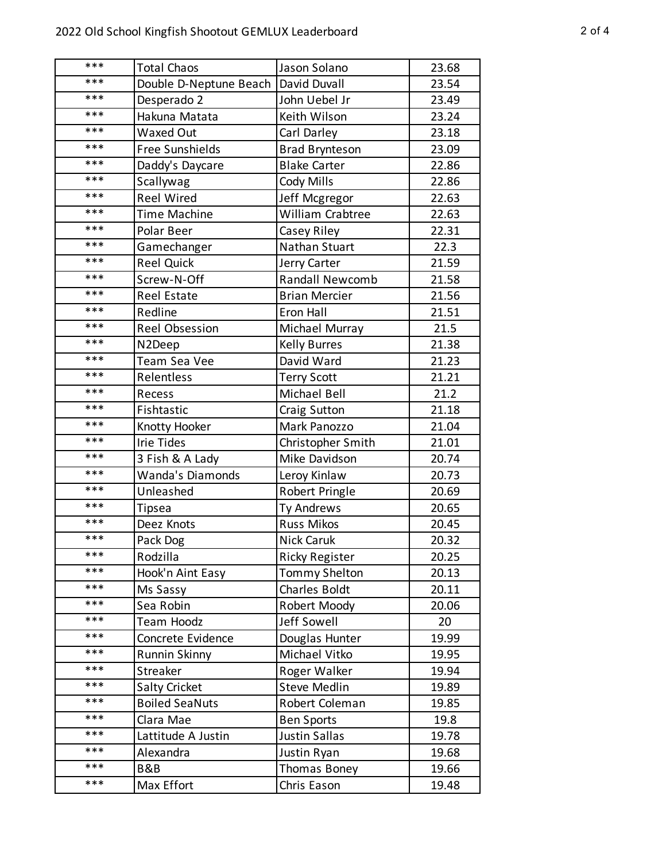| *** | <b>Total Chaos</b>      | Jason Solano           | 23.68 |
|-----|-------------------------|------------------------|-------|
| *** | Double D-Neptune Beach  | David Duvall           | 23.54 |
| *** | Desperado 2             | John Uebel Jr          | 23.49 |
| *** | Hakuna Matata           | Keith Wilson           | 23.24 |
| *** | <b>Waxed Out</b>        | Carl Darley            | 23.18 |
| *** | <b>Free Sunshields</b>  | <b>Brad Brynteson</b>  | 23.09 |
| *** | Daddy's Daycare         | <b>Blake Carter</b>    | 22.86 |
| *** | Scallywag               | Cody Mills             | 22.86 |
| *** | <b>Reel Wired</b>       | Jeff Mcgregor          | 22.63 |
| *** | <b>Time Machine</b>     | William Crabtree       | 22.63 |
| *** | Polar Beer              | Casey Riley            | 22.31 |
| *** | Gamechanger             | Nathan Stuart          | 22.3  |
| *** | <b>Reel Quick</b>       | Jerry Carter           | 21.59 |
| *** | Screw-N-Off             | <b>Randall Newcomb</b> | 21.58 |
| *** | <b>Reel Estate</b>      | <b>Brian Mercier</b>   | 21.56 |
| *** | Redline                 | Eron Hall              | 21.51 |
| *** | <b>Reel Obsession</b>   | Michael Murray         | 21.5  |
| *** | N2Deep                  | <b>Kelly Burres</b>    | 21.38 |
| *** | Team Sea Vee            | David Ward             | 21.23 |
| *** | Relentless              | <b>Terry Scott</b>     | 21.21 |
| *** | Recess                  | Michael Bell           | 21.2  |
| *** | Fishtastic              | <b>Craig Sutton</b>    | 21.18 |
| *** | Knotty Hooker           | Mark Panozzo           | 21.04 |
| *** | <b>Irie Tides</b>       | Christopher Smith      | 21.01 |
| *** | 3 Fish & A Lady         | Mike Davidson          | 20.74 |
| *** | <b>Wanda's Diamonds</b> | Leroy Kinlaw           | 20.73 |
| *** | Unleashed               | Robert Pringle         | 20.69 |
| *** | <b>Tipsea</b>           | Ty Andrews             | 20.65 |
| *** | Deez Knots              | <b>Russ Mikos</b>      | 20.45 |
| *** | Pack Dog                | Nick Caruk             | 20.32 |
| *** | Rodzilla                | <b>Ricky Register</b>  | 20.25 |
| *** | Hook'n Aint Easy        | Tommy Shelton          | 20.13 |
| *** | Ms Sassy                | Charles Boldt          | 20.11 |
| *** | Sea Robin               | Robert Moody           | 20.06 |
| *** | Team Hoodz              | Jeff Sowell            | 20    |
| *** | Concrete Evidence       | Douglas Hunter         | 19.99 |
| *** | <b>Runnin Skinny</b>    | Michael Vitko          | 19.95 |
| *** | Streaker                | Roger Walker           | 19.94 |
| *** | <b>Salty Cricket</b>    | <b>Steve Medlin</b>    | 19.89 |
| *** | <b>Boiled SeaNuts</b>   | Robert Coleman         | 19.85 |
| *** | Clara Mae               | <b>Ben Sports</b>      | 19.8  |
| *** | Lattitude A Justin      | Justin Sallas          | 19.78 |
| *** | Alexandra               | Justin Ryan            | 19.68 |
| *** | B&B                     | Thomas Boney           | 19.66 |
| *** | Max Effort              | Chris Eason            | 19.48 |
|     |                         |                        |       |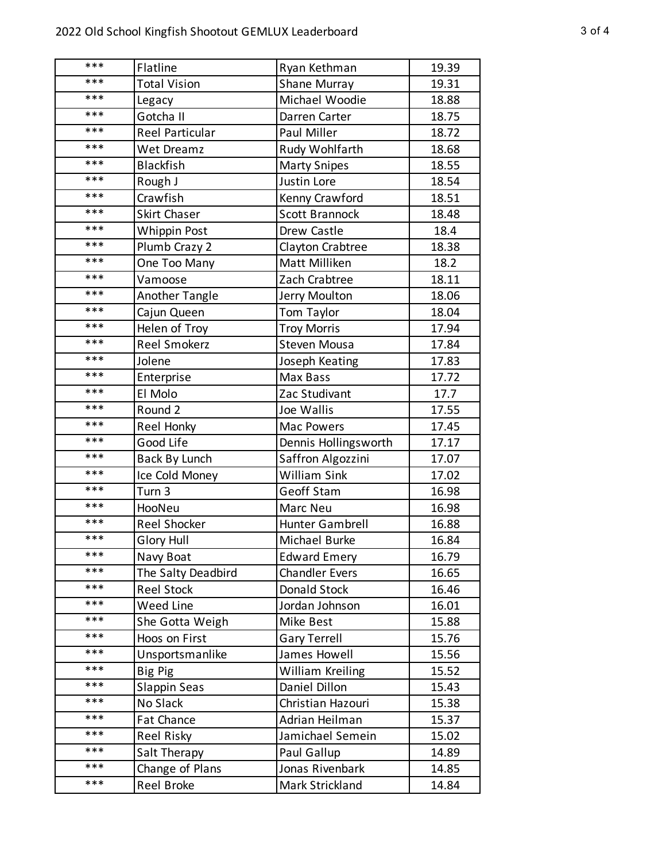| ***   | Flatline               | Ryan Kethman            | 19.39 |
|-------|------------------------|-------------------------|-------|
| ***   | <b>Total Vision</b>    | Shane Murray            | 19.31 |
| ***   | Legacy                 | Michael Woodie          | 18.88 |
| ***   | Gotcha II              | Darren Carter           | 18.75 |
| $***$ | <b>Reel Particular</b> | Paul Miller             | 18.72 |
| ***   | Wet Dreamz             | Rudy Wohlfarth          | 18.68 |
| ***   | <b>Blackfish</b>       | <b>Marty Snipes</b>     | 18.55 |
| ***   | Rough J                | Justin Lore             | 18.54 |
| ***   | Crawfish               | Kenny Crawford          | 18.51 |
| ***   | <b>Skirt Chaser</b>    | <b>Scott Brannock</b>   | 18.48 |
| ***   | Whippin Post           | Drew Castle             | 18.4  |
| ***   | Plumb Crazy 2          | Clayton Crabtree        | 18.38 |
| ***   | One Too Many           | Matt Milliken           | 18.2  |
| ***   | Vamoose                | Zach Crabtree           | 18.11 |
| ***   | <b>Another Tangle</b>  | Jerry Moulton           | 18.06 |
| ***   | Cajun Queen            | Tom Taylor              | 18.04 |
| ***   | Helen of Troy          | <b>Troy Morris</b>      | 17.94 |
| ***   | <b>Reel Smokerz</b>    | <b>Steven Mousa</b>     | 17.84 |
| ***   | Jolene                 | Joseph Keating          | 17.83 |
| ***   | Enterprise             | Max Bass                | 17.72 |
| ***   | El Molo                | Zac Studivant           | 17.7  |
| ***   | Round 2                | Joe Wallis              | 17.55 |
| ***   | Reel Honky             | Mac Powers              | 17.45 |
| ***   | Good Life              | Dennis Hollingsworth    | 17.17 |
| ***   | <b>Back By Lunch</b>   | Saffron Algozzini       | 17.07 |
| ***   | Ice Cold Money         | <b>William Sink</b>     | 17.02 |
| ***   | Turn 3                 | Geoff Stam              | 16.98 |
| ***   | HooNeu                 | Marc Neu                | 16.98 |
| $***$ | <b>Reel Shocker</b>    | Hunter Gambrell         | 16.88 |
| ***   | <b>Glory Hull</b>      | Michael Burke           | 16.84 |
| ***   | Navy Boat              | <b>Edward Emery</b>     | 16.79 |
| ***   | The Salty Deadbird     | <b>Chandler Evers</b>   | 16.65 |
| ***   | <b>Reel Stock</b>      | Donald Stock            | 16.46 |
| ***   | Weed Line              | Jordan Johnson          | 16.01 |
| ***   | She Gotta Weigh        | Mike Best               | 15.88 |
| ***   | Hoos on First          | <b>Gary Terrell</b>     | 15.76 |
| ***   | Unsportsmanlike        | James Howell            | 15.56 |
| ***   | Big Pig                | <b>William Kreiling</b> | 15.52 |
| ***   | Slappin Seas           | Daniel Dillon           | 15.43 |
| ***   | No Slack               | Christian Hazouri       | 15.38 |
| ***   | Fat Chance             | Adrian Heilman          | 15.37 |
| ***   | <b>Reel Risky</b>      | Jamichael Semein        | 15.02 |
| ***   | Salt Therapy           | Paul Gallup             | 14.89 |
| ***   | Change of Plans        | Jonas Rivenbark         | 14.85 |
| ***   | Reel Broke             | Mark Strickland         | 14.84 |